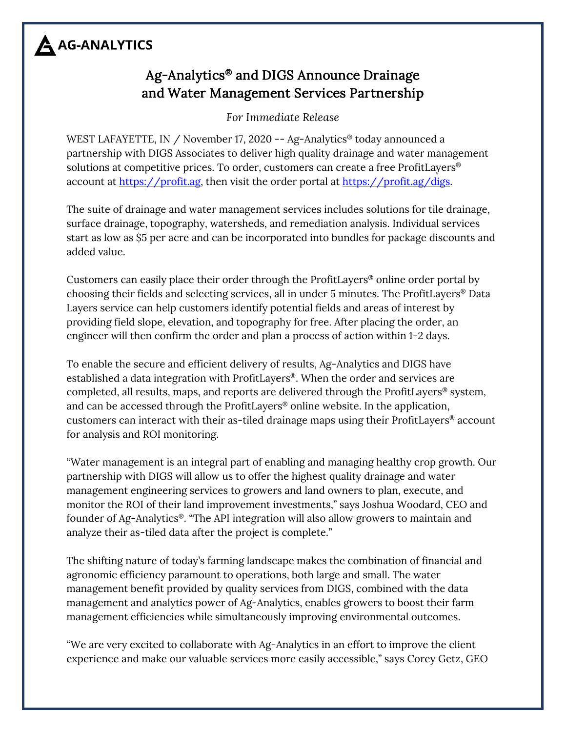# A AG-ANALYTICS

### Ag-Analytics® and DIGS Announce Drainage and Water Management Services Partnership

*For Immediate Release*

WEST LAFAYETTE, IN / November 17, 2020 -- Ag-Analytics® today announced a partnership with DIGS Associates to deliver high quality drainage and water management solutions at competitive prices. To order, customers can create a free ProfitLayers® account at [https://profit.ag,](https://profit.ag/) then visit the order portal at [https://profit.ag/digs.](https://profit.ag/digs)

The suite of drainage and water management services includes solutions for tile drainage, surface drainage, topography, watersheds, and remediation analysis. Individual services start as low as \$5 per acre and can be incorporated into bundles for package discounts and added value.

Customers can easily place their order through the ProfitLayers® online order portal by choosing their fields and selecting services, all in under 5 minutes. The ProfitLayers® Data Layers service can help customers identify potential fields and areas of interest by providing field slope, elevation, and topography for free. After placing the order, an engineer will then confirm the order and plan a process of action within 1-2 days.

To enable the secure and efficient delivery of results, Ag-Analytics and DIGS have established a data integration with ProfitLayers®. When the order and services are completed, all results, maps, and reports are delivered through the ProfitLayers® system, and can be accessed through the ProfitLayers® online website. In the application, customers can interact with their as-tiled drainage maps using their ProfitLayers® account for analysis and ROI monitoring.

"Water management is an integral part of enabling and managing healthy crop growth. Our partnership with DIGS will allow us to offer the highest quality drainage and water management engineering services to growers and land owners to plan, execute, and monitor the ROI of their land improvement investments," says Joshua Woodard, CEO and founder of Ag-Analytics®. "The API integration will also allow growers to maintain and analyze their as-tiled data after the project is complete."

The shifting nature of today's farming landscape makes the combination of financial and agronomic efficiency paramount to operations, both large and small. The water management benefit provided by quality services from DIGS, combined with the data management and analytics power of Ag-Analytics, enables growers to boost their farm management efficiencies while simultaneously improving environmental outcomes.

"We are very excited to collaborate with Ag-Analytics in an effort to improve the client experience and make our valuable services more easily accessible," says Corey Getz, GEO